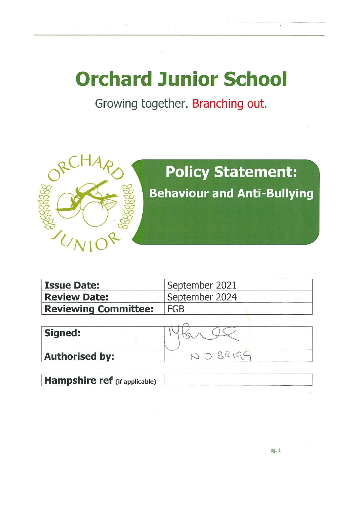## **Orchard Junior School**

Growing together. Branching out.



| <b>Issue Date:</b>          | September 2021 |  |
|-----------------------------|----------------|--|
| <b>Review Date:</b>         | September 2024 |  |
| <b>Reviewing Committee:</b> | <b>FGB</b>     |  |

| Signed:               |  |
|-----------------------|--|
| <b>Authorised by:</b> |  |

Hampshire ref (if applicable)

pg. 1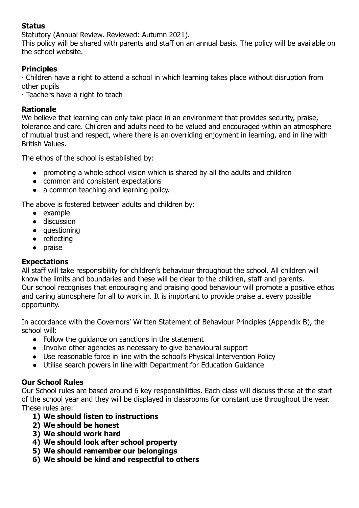#### **Status**

Statutory (Annual Review. Reviewed: Autumn 2021).

This policy will be shared with parents and staff on an annual basis. The policy will be available on the school website.

#### **Principles**

∙ Children have a right to attend a school in which learning takes place without disruption from other pupils

∙ Teachers have a right to teach

#### **Rationale**

We believe that learning can only take place in an environment that provides security, praise, tolerance and care. Children and adults need to be valued and encouraged within an atmosphere of mutual trust and respect, where there is an overriding enjoyment in learning, and in line with British Values.

The ethos of the school is established by:

- promoting a whole school vision which is shared by all the adults and children
- common and consistent expectations
- a common teaching and learning policy.

The above is fostered between adults and children by:

- example
- discussion
- questioning
- reflecting
- praise

#### **Expectations**

All staff will take responsibility for children's behaviour throughout the school. All children will know the limits and boundaries and these will be clear to the children, staff and parents. Our school recognises that encouraging and praising good behaviour will promote a positive ethos and caring atmosphere for all to work in. It is important to provide praise at every possible opportunity.

In accordance with the Governors' Written Statement of Behaviour Principles (Appendix B), the school will:

- Follow the guidance on sanctions in the statement
- Involve other agencies as necessary to give behavioural support
- Use reasonable force in line with the school's Physical Intervention Policy
- Utilise search powers in line with Department for Education Guidance

#### **Our School Rules**

Our School rules are based around 6 key responsibilities. Each class will discuss these at the start of the school year and they will be displayed in classrooms for constant use throughout the year. These rules are:

- **1) We should listen to instructions**
- **2) We should be honest**
- **3) We should work hard**
- **4) We should look after school property**
- **5) We should remember our belongings**
- **6) We should be kind and respectful to others**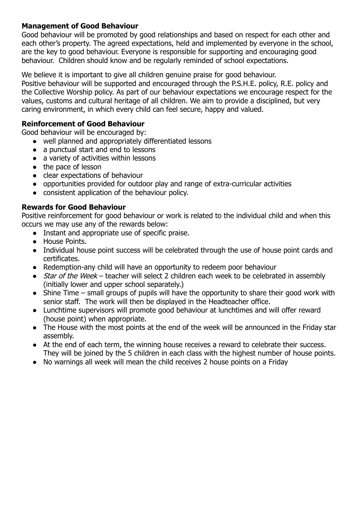#### **Management of Good Behaviour**

Good behaviour will be promoted by good relationships and based on respect for each other and each other's property. The agreed expectations, held and implemented by everyone in the school, are the key to good behaviour. Everyone is responsible for supporting and encouraging good behaviour. Children should know and be regularly reminded of school expectations.

We believe it is important to give all children genuine praise for good behaviour.

Positive behaviour will be supported and encouraged through the P.S.H.E. policy, R.E. policy and the Collective Worship policy. As part of our behaviour expectations we encourage respect for the values, customs and cultural heritage of all children. We aim to provide a disciplined, but very caring environment, in which every child can feel secure, happy and valued.

#### **Reinforcement of Good Behaviour**

Good behaviour will be encouraged by:

- well planned and appropriately differentiated lessons
- a punctual start and end to lessons
- a variety of activities within lessons
- the pace of lesson
- clear expectations of behaviour
- opportunities provided for outdoor play and range of extra-curricular activities
- consistent application of the behaviour policy.

#### **Rewards for Good Behaviour**

Positive reinforcement for good behaviour or work is related to the individual child and when this occurs we may use any of the rewards below:

- Instant and appropriate use of specific praise.
- House Points.
- Individual house point success will be celebrated through the use of house point cards and certificates.
- Redemption-any child will have an opportunity to redeem poor behaviour
- Star of the Week teacher will select 2 children each week to be celebrated in assembly (initially lower and upper school separately.)
- Shine Time small groups of pupils will have the opportunity to share their good work with senior staff. The work will then be displayed in the Headteacher office.
- Lunchtime supervisors will promote good behaviour at lunchtimes and will offer reward (house point) when appropriate.
- The House with the most points at the end of the week will be announced in the Friday star assembly.
- At the end of each term, the winning house receives a reward to celebrate their success. They will be joined by the 5 children in each class with the highest number of house points.
- No warnings all week will mean the child receives 2 house points on a Friday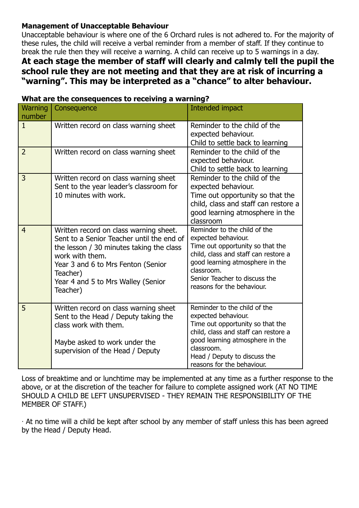#### **Management of Unacceptable Behaviour**

Unacceptable behaviour is where one of the 6 Orchard rules is not adhered to. For the majority of these rules, the child will receive a verbal reminder from a member of staff. If they continue to break the rule then they will receive a warning. A child can receive up to 5 warnings in a day.

#### **At each stage the member of staff will clearly and calmly tell the pupil the school rule they are not meeting and that they are at risk of incurring a "warning". This may be interpreted as a "chance" to alter behaviour.**

| Warning        | Consequence                                                                                                                                                                                                                                            | Intended impact                                                                                                                                                                                                                                 |
|----------------|--------------------------------------------------------------------------------------------------------------------------------------------------------------------------------------------------------------------------------------------------------|-------------------------------------------------------------------------------------------------------------------------------------------------------------------------------------------------------------------------------------------------|
| number         |                                                                                                                                                                                                                                                        |                                                                                                                                                                                                                                                 |
| $\mathbf{1}$   | Written record on class warning sheet                                                                                                                                                                                                                  | Reminder to the child of the<br>expected behaviour.<br>Child to settle back to learning                                                                                                                                                         |
| $\overline{2}$ | Written record on class warning sheet                                                                                                                                                                                                                  | Reminder to the child of the<br>expected behaviour.<br>Child to settle back to learning                                                                                                                                                         |
| 3              | Written record on class warning sheet<br>Sent to the year leader's classroom for<br>10 minutes with work.                                                                                                                                              | Reminder to the child of the<br>expected behaviour.<br>Time out opportunity so that the<br>child, class and staff can restore a<br>good learning atmosphere in the<br>classroom                                                                 |
| $\overline{4}$ | Written record on class warning sheet.<br>Sent to a Senior Teacher until the end of<br>the lesson / 30 minutes taking the class<br>work with them.<br>Year 3 and 6 to Mrs Fenton (Senior<br>Teacher)<br>Year 4 and 5 to Mrs Walley (Senior<br>Teacher) | Reminder to the child of the<br>expected behaviour.<br>Time out opportunity so that the<br>child, class and staff can restore a<br>good learning atmosphere in the<br>classroom.<br>Senior Teacher to discuss the<br>reasons for the behaviour. |
| 5              | Written record on class warning sheet<br>Sent to the Head / Deputy taking the<br>class work with them.<br>Maybe asked to work under the<br>supervision of the Head / Deputy                                                                            | Reminder to the child of the<br>expected behaviour.<br>Time out opportunity so that the<br>child, class and staff can restore a<br>good learning atmosphere in the<br>classroom.<br>Head / Deputy to discuss the<br>reasons for the behaviour.  |

#### **What are the consequences to receiving a warning?**

Loss of breaktime and or lunchtime may be implemented at any time as a further response to the above, or at the discretion of the teacher for failure to complete assigned work (AT NO TIME SHOULD A CHILD BE LEFT UNSUPERVISED - THEY REMAIN THE RESPONSIBILITY OF THE MEMBER OF STAFF.)

∙ At no time will a child be kept after school by any member of staff unless this has been agreed by the Head / Deputy Head.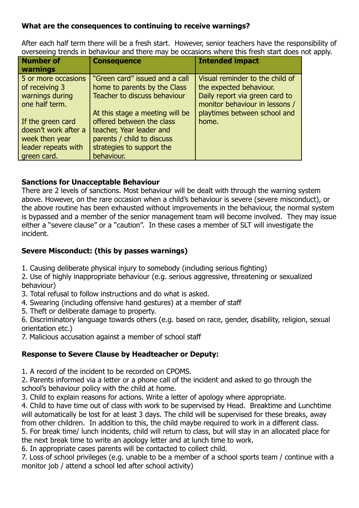#### **What are the consequences to continuing to receive warnings?**

After each half term there will be a fresh start. However, senior teachers have the responsibility of overseeing trends in behaviour and there may be occasions where this fresh start does not apply.

| <b>Number of</b><br>warnings                                                                                        | <b>Consequence</b>                                                                                                                                                | <b>Intended impact</b>                                                                       |
|---------------------------------------------------------------------------------------------------------------------|-------------------------------------------------------------------------------------------------------------------------------------------------------------------|----------------------------------------------------------------------------------------------|
| 5 or more occasions<br>of receiving 3<br>warnings during                                                            | "Green card" issued and a call<br>home to parents by the Class<br><b>Teacher to discuss behaviour</b>                                                             | Visual reminder to the child of<br>the expected behaviour.<br>Daily report via green card to |
| one half term.<br>If the green card<br>doesn't work after a<br>week then year<br>leader repeats with<br>green card. | At this stage a meeting will be<br>offered between the class<br>teacher, Year leader and<br>parents / child to discuss<br>strategies to support the<br>behaviour. | monitor behaviour in lessons /<br>playtimes between school and<br>home.                      |

#### **Sanctions for Unacceptable Behaviour**

There are 2 levels of sanctions. Most behaviour will be dealt with through the warning system above. However, on the rare occasion when a child's behaviour is severe (severe misconduct), or the above routine has been exhausted without improvements in the behaviour, the normal system is bypassed and a member of the senior management team will become involved. They may issue either a "severe clause" or a "caution". In these cases a member of SLT will investigate the incident.

#### **Severe Misconduct: (this by passes warnings)**

- 1. Causing deliberate physical injury to somebody (including serious fighting)
- 2. Use of highly inappropriate behaviour (e.g. serious aggressive, threatening or sexualized behaviour)
- 3. Total refusal to follow instructions and do what is asked.
- 4. Swearing (including offensive hand gestures) at a member of staff
- 5. Theft or deliberate damage to property.

6. Discriminatory language towards others (e.g. based on race, gender, disability, religion, sexual orientation etc.)

7. Malicious accusation against a member of school staff

#### **Response to Severe Clause by Headteacher or Deputy:**

1. A record of the incident to be recorded on CPOMS.

2. Parents informed via a letter or a phone call of the incident and asked to go through the school's behaviour policy with the child at home.

3. Child to explain reasons for actions. Write a letter of apology where appropriate.

4. Child to have time out of class with work to be supervised by Head. Breaktime and Lunchtime will automatically be lost for at least 3 days. The child will be supervised for these breaks, away from other children. In addition to this, the child maybe required to work in a different class. 5. For break time/ lunch incidents, child will return to class, but will stay in an allocated place for the next break time to write an apology letter and at lunch time to work.

6. In appropriate cases parents will be contacted to collect child.

7. Loss of school privileges (e.g. unable to be a member of a school sports team / continue with a monitor job / attend a school led after school activity)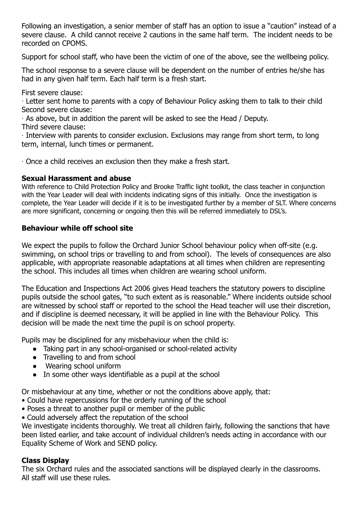Following an investigation, a senior member of staff has an option to issue a "caution" instead of a severe clause. A child cannot receive 2 cautions in the same half term. The incident needs to be recorded on CPOMS.

Support for school staff, who have been the victim of one of the above, see the wellbeing policy.

The school response to a severe clause will be dependent on the number of entries he/she has had in any given half term. Each half term is a fresh start.

First severe clause:

∙ Letter sent home to parents with a copy of Behaviour Policy asking them to talk to their child Second severe clause:

∙ As above, but in addition the parent will be asked to see the Head / Deputy.

Third severe clause:

∙ Interview with parents to consider exclusion. Exclusions may range from short term, to long term, internal, lunch times or permanent.

∙ Once a child receives an exclusion then they make a fresh start.

#### **Sexual Harassment and abuse**

With reference to Child Protection Policy and Brooke Traffic light toolkit, the class teacher in conjunction with the Year Leader will deal with incidents indicating signs of this initially. Once the investigation is complete, the Year Leader will decide if it is to be investigated further by a member of SLT. Where concerns are more significant, concerning or ongoing then this will be referred immediately to DSL's.

#### **Behaviour while off school site**

We expect the pupils to follow the Orchard Junior School behaviour policy when off-site (e.g. swimming, on school trips or travelling to and from school). The levels of consequences are also applicable, with appropriate reasonable adaptations at all times when children are representing the school. This includes all times when children are wearing school uniform.

The Education and Inspections Act 2006 gives Head teachers the statutory powers to discipline pupils outside the school gates, "to such extent as is reasonable." Where incidents outside school are witnessed by school staff or reported to the school the Head teacher will use their discretion, and if discipline is deemed necessary, it will be applied in line with the Behaviour Policy. This decision will be made the next time the pupil is on school property.

Pupils may be disciplined for any misbehaviour when the child is:

- Taking part in any school-organised or school-related activity
- Travelling to and from school
- Wearing school uniform
- In some other ways identifiable as a pupil at the school

Or misbehaviour at any time, whether or not the conditions above apply, that:

- Could have repercussions for the orderly running of the school
- Poses a threat to another pupil or member of the public
- Could adversely affect the reputation of the school

We investigate incidents thoroughly. We treat all children fairly, following the sanctions that have been listed earlier, and take account of individual children's needs acting in accordance with our Equality Scheme of Work and SEND policy.

#### **Class Display**

The six Orchard rules and the associated sanctions will be displayed clearly in the classrooms. All staff will use these rules.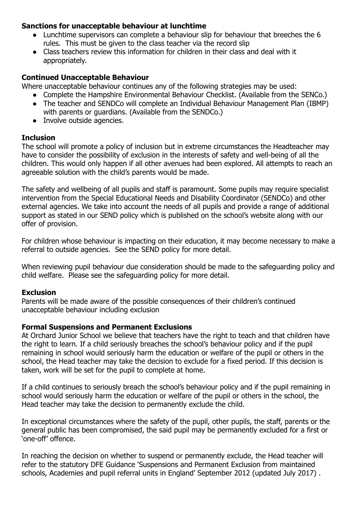#### **Sanctions for unacceptable behaviour at lunchtime**

- Lunchtime supervisors can complete a behaviour slip for behaviour that breeches the 6 rules. This must be given to the class teacher via the record slip
- Class teachers review this information for children in their class and deal with it appropriately.

#### **Continued Unacceptable Behaviour**

Where unacceptable behaviour continues any of the following strategies may be used:

- Complete the Hampshire Environmental Behaviour Checklist. (Available from the SENCo.)
- The teacher and SENDCo will complete an Individual Behaviour Management Plan (IBMP) with parents or guardians. (Available from the SENDCo.)
- Involve outside agencies.

#### **Inclusion**

The school will promote a policy of inclusion but in extreme circumstances the Headteacher may have to consider the possibility of exclusion in the interests of safety and well-being of all the children. This would only happen if all other avenues had been explored. All attempts to reach an agreeable solution with the child's parents would be made.

The safety and wellbeing of all pupils and staff is paramount. Some pupils may require specialist intervention from the Special Educational Needs and Disability Coordinator (SENDCo) and other external agencies. We take into account the needs of all pupils and provide a range of additional support as stated in our SEND policy which is published on the school's website along with our offer of provision.

For children whose behaviour is impacting on their education, it may become necessary to make a referral to outside agencies. See the SEND policy for more detail.

When reviewing pupil behaviour due consideration should be made to the safeguarding policy and child welfare. Please see the safeguarding policy for more detail.

#### **Exclusion**

Parents will be made aware of the possible consequences of their children's continued unacceptable behaviour including exclusion

#### **Formal Suspensions and Permanent Exclusions**

At Orchard Junior School we believe that teachers have the right to teach and that children have the right to learn. If a child seriously breaches the school's behaviour policy and if the pupil remaining in school would seriously harm the education or welfare of the pupil or others in the school, the Head teacher may take the decision to exclude for a fixed period. If this decision is taken, work will be set for the pupil to complete at home.

If a child continues to seriously breach the school's behaviour policy and if the pupil remaining in school would seriously harm the education or welfare of the pupil or others in the school, the Head teacher may take the decision to permanently exclude the child.

In exceptional circumstances where the safety of the pupil, other pupils, the staff, parents or the general public has been compromised, the said pupil may be permanently excluded for a first or 'one-off' offence.

In reaching the decision on whether to suspend or permanently exclude, the Head teacher will refer to the statutory DFE Guidance 'Suspensions and Permanent Exclusion from maintained schools, Academies and pupil referral units in England' September 2012 (updated July 2017) .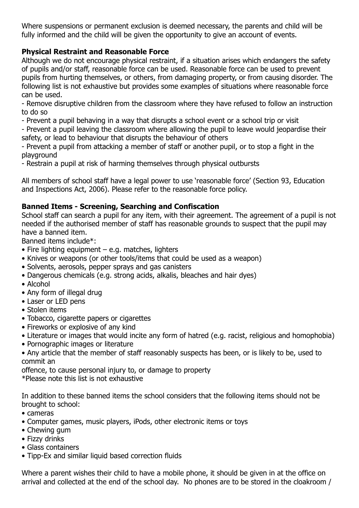Where suspensions or permanent exclusion is deemed necessary, the parents and child will be fully informed and the child will be given the opportunity to give an account of events.

#### **Physical Restraint and Reasonable Force**

Although we do not encourage physical restraint, if a situation arises which endangers the safety of pupils and/or staff, reasonable force can be used. Reasonable force can be used to prevent pupils from hurting themselves, or others, from damaging property, or from causing disorder. The following list is not exhaustive but provides some examples of situations where reasonable force can be used.

- Remove disruptive children from the classroom where they have refused to follow an instruction to do so

- Prevent a pupil behaving in a way that disrupts a school event or a school trip or visit

- Prevent a pupil leaving the classroom where allowing the pupil to leave would jeopardise their safety, or lead to behaviour that disrupts the behaviour of others

- Prevent a pupil from attacking a member of staff or another pupil, or to stop a fight in the playground

- Restrain a pupil at risk of harming themselves through physical outbursts

All members of school staff have a legal power to use 'reasonable force' (Section 93, Education and Inspections Act, 2006). Please refer to the reasonable force policy.

#### **Banned Items - Screening, Searching and Confiscation**

School staff can search a pupil for any item, with their agreement. The agreement of a pupil is not needed if the authorised member of staff has reasonable grounds to suspect that the pupil may have a banned item.

Banned items include\*:

- Fire lighting equipment e.g. matches, lighters
- Knives or weapons (or other tools/items that could be used as a weapon)
- Solvents, aerosols, pepper sprays and gas canisters
- Dangerous chemicals (e.g. strong acids, alkalis, bleaches and hair dyes)
- Alcohol
- Any form of illegal drug
- Laser or LED pens
- Stolen items
- Tobacco, cigarette papers or cigarettes
- Fireworks or explosive of any kind
- Literature or images that would incite any form of hatred (e.g. racist, religious and homophobia)
- Pornographic images or literature
- Any article that the member of staff reasonably suspects has been, or is likely to be, used to commit an

offence, to cause personal injury to, or damage to property \*Please note this list is not exhaustive

In addition to these banned items the school considers that the following items should not be brought to school:

- cameras
- Computer games, music players, iPods, other electronic items or toys
- Chewing gum
- Fizzy drinks
- Glass containers
- Tipp-Ex and similar liquid based correction fluids

Where a parent wishes their child to have a mobile phone, it should be given in at the office on arrival and collected at the end of the school day. No phones are to be stored in the cloakroom /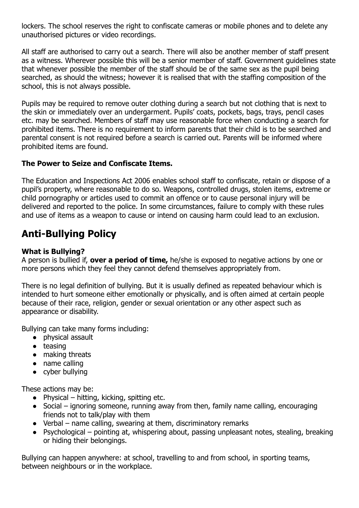lockers. The school reserves the right to confiscate cameras or mobile phones and to delete any unauthorised pictures or video recordings.

All staff are authorised to carry out a search. There will also be another member of staff present as a witness. Wherever possible this will be a senior member of staff. Government guidelines state that whenever possible the member of the staff should be of the same sex as the pupil being searched, as should the witness; however it is realised that with the staffing composition of the school, this is not always possible.

Pupils may be required to remove outer clothing during a search but not clothing that is next to the skin or immediately over an undergarment. Pupils' coats, pockets, bags, trays, pencil cases etc. may be searched. Members of staff may use reasonable force when conducting a search for prohibited items. There is no requirement to inform parents that their child is to be searched and parental consent is not required before a search is carried out. Parents will be informed where prohibited items are found.

#### **The Power to Seize and Confiscate Items.**

The Education and Inspections Act 2006 enables school staff to confiscate, retain or dispose of a pupil's property, where reasonable to do so. Weapons, controlled drugs, stolen items, extreme or child pornography or articles used to commit an offence or to cause personal injury will be delivered and reported to the police. In some circumstances, failure to comply with these rules and use of items as a weapon to cause or intend on causing harm could lead to an exclusion.

### **Anti-Bullying Policy**

#### **What is Bullying?**

A person is bullied if, **over a period of time,** he/she is exposed to negative actions by one or more persons which they feel they cannot defend themselves appropriately from.

There is no legal definition of bullying. But it is usually defined as repeated behaviour which is intended to hurt someone either emotionally or physically, and is often aimed at certain people because of their race, religion, gender or sexual orientation or any other aspect such as appearance or disability.

Bullying can take many forms including:

- physical assault
- teasing
- making threats
- name calling
- cyber bullying

These actions may be:

- $\bullet$  Physical hitting, kicking, spitting etc.
- Social ignoring someone, running away from then, family name calling, encouraging friends not to talk/play with them
- Verbal name calling, swearing at them, discriminatory remarks
- Psychological pointing at, whispering about, passing unpleasant notes, stealing, breaking or hiding their belongings.

Bullying can happen anywhere: at school, travelling to and from school, in sporting teams, between neighbours or in the workplace.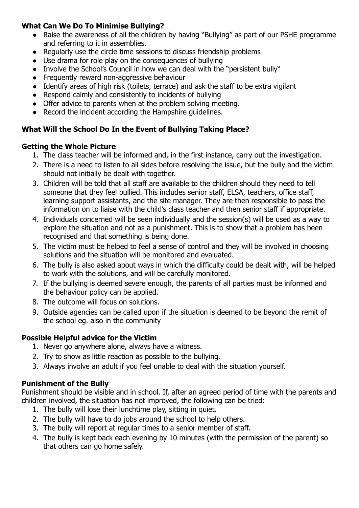#### **What Can We Do To Minimise Bullying?**

- Raise the awareness of all the children by having "Bullying" as part of our PSHE programme and referring to it in assemblies.
- Regularly use the circle time sessions to discuss friendship problems
- Use drama for role play on the consequences of bullying
- Involve the School's Council in how we can deal with the "persistent bully"
- Frequently reward non-aggressive behaviour
- Identify areas of high risk (toilets, terrace) and ask the staff to be extra vigilant
- Respond calmly and consistently to incidents of bullying
- Offer advice to parents when at the problem solving meeting.
- Record the incident according the Hampshire guidelines.

#### **What Will the School Do In the Event of Bullying Taking Place?**

#### **Getting the Whole Picture**

- 1. The class teacher will be informed and, in the first instance, carry out the investigation.
- 2. There is a need to listen to all sides before resolving the issue, but the bully and the victim should not initially be dealt with together.
- 3. Children will be told that all staff are available to the children should they need to tell someone that they feel bullied. This includes senior staff, ELSA, teachers, office staff, learning support assistants, and the site manager. They are then responsible to pass the information on to liaise with the child's class teacher and then senior staff if appropriate.
- 4. Individuals concerned will be seen individually and the session(s) will be used as a way to explore the situation and not as a punishment. This is to show that a problem has been recognised and that something is being done.
- 5. The victim must be helped to feel a sense of control and they will be involved in choosing solutions and the situation will be monitored and evaluated.
- 6. The bully is also asked about ways in which the difficulty could be dealt with, will be helped to work with the solutions, and will be carefully monitored.
- 7. If the bullying is deemed severe enough, the parents of all parties must be informed and the behaviour policy can be applied.
- 8. The outcome will focus on solutions.
- 9. Outside agencies can be called upon if the situation is deemed to be beyond the remit of the school eg. also in the community

#### **Possible Helpful advice for the Victim**

- 1. Never go anywhere alone, always have a witness.
- 2. Try to show as little reaction as possible to the bullying.
- 3. Always involve an adult if you feel unable to deal with the situation yourself.

#### **Punishment of the Bully**

Punishment should be visible and in school. If, after an agreed period of time with the parents and children involved, the situation has not improved, the following can be tried:

- 1. The bully will lose their lunchtime play, sitting in quiet.
- 2. The bully will have to do jobs around the school to help others.
- 3. The bully will report at regular times to a senior member of staff.
- 4. The bully is kept back each evening by 10 minutes (with the permission of the parent) so that others can go home safely.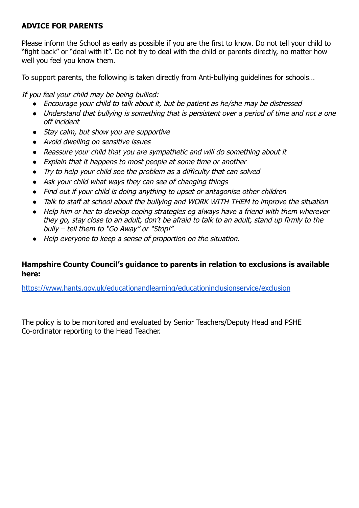#### **ADVICE FOR PARENTS**

Please inform the School as early as possible if you are the first to know. Do not tell your child to "fight back" or "deal with it". Do not try to deal with the child or parents directly, no matter how well you feel you know them.

To support parents, the following is taken directly from Anti-bullying guidelines for schools…

If you feel your child may be being bullied:

- *●* Encourage your child to talk about it, but be patient as he/she may be distressed
- *●* Understand that bullying is something that is persistent over a period of time and not a one off incident
- *●* Stay calm, but show you are supportive
- *●* Avoid dwelling on sensitive issues
- *●* Reassure your child that you are sympathetic and will do something about it
- *●* Explain that it happens to most people at some time or another
- *●* Try to help your child see the problem as a difficulty that can solved
- *●* Ask your child what ways they can see of changing things
- *●* Find out if your child is doing anything to upset or antagonise other children
- *●* Talk to staff at school about the bullying and WORK WITH THEM to improve the situation
- *●* Help him or her to develop coping strategies eg always have a friend with them wherever they go, stay close to an adult, don't be afraid to talk to an adult, stand up firmly to the bully – tell them to "Go Away" or "Stop!"
- *●* Help everyone to keep a sense of proportion on the situation.

#### **Hampshire County Council's guidance to parents in relation to exclusions is available here:**

<https://www.hants.gov.uk/educationandlearning/educationinclusionservice/exclusion>

The policy is to be monitored and evaluated by Senior Teachers/Deputy Head and PSHE Co-ordinator reporting to the Head Teacher.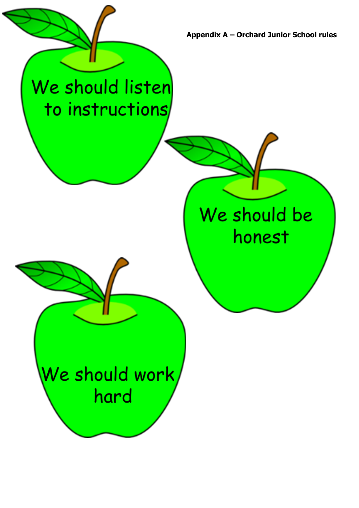**Appendix A – Orchard Junior School rules**

# We should listen to instructions

**Appendix A**

## We should be honest

We should work hard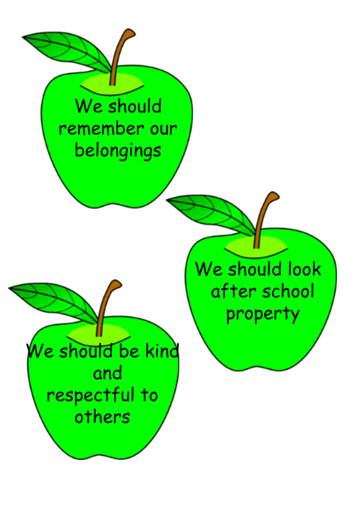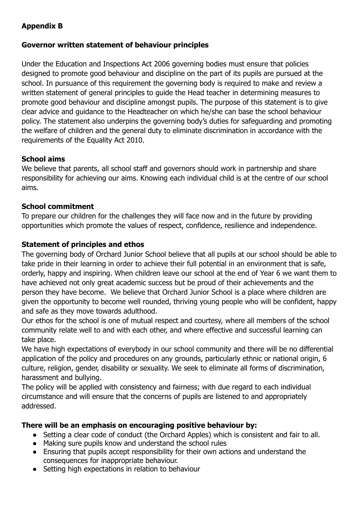#### **Appendix B**

#### **Governor written statement of behaviour principles**

Under the Education and Inspections Act 2006 governing bodies must ensure that policies designed to promote good behaviour and discipline on the part of its pupils are pursued at the school. In pursuance of this requirement the governing body is required to make and review a written statement of general principles to guide the Head teacher in determining measures to promote good behaviour and discipline amongst pupils. The purpose of this statement is to give clear advice and guidance to the Headteacher on which he/she can base the school behaviour policy. The statement also underpins the governing body's duties for safeguarding and promoting the welfare of children and the general duty to eliminate discrimination in accordance with the requirements of the Equality Act 2010.

#### **School aims**

We believe that parents, all school staff and governors should work in partnership and share responsibility for achieving our aims. Knowing each individual child is at the centre of our school aims.

#### **School commitment**

To prepare our children for the challenges they will face now and in the future by providing opportunities which promote the values of respect, confidence, resilience and independence.

#### **Statement of principles and ethos**

The governing body of Orchard Junior School believe that all pupils at our school should be able to take pride in their learning in order to achieve their full potential in an environment that is safe, orderly, happy and inspiring. When children leave our school at the end of Year 6 we want them to have achieved not only great academic success but be proud of their achievements and the person they have become. We believe that Orchard Junior School is a place where children are given the opportunity to become well rounded, thriving young people who will be confident, happy and safe as they move towards adulthood.

Our ethos for the school is one of mutual respect and courtesy, where all members of the school community relate well to and with each other, and where effective and successful learning can take place.

We have high expectations of everybody in our school community and there will be no differential application of the policy and procedures on any grounds, particularly ethnic or national origin, 6 culture, religion, gender, disability or sexuality. We seek to eliminate all forms of discrimination, harassment and bullying.

The policy will be applied with consistency and fairness; with due regard to each individual circumstance and will ensure that the concerns of pupils are listened to and appropriately addressed.

#### **There will be an emphasis on encouraging positive behaviour by:**

- Setting a clear code of conduct (the Orchard Apples) which is consistent and fair to all.
- Making sure pupils know and understand the school rules
- Ensuring that pupils accept responsibility for their own actions and understand the consequences for inappropriate behaviour.
- Setting high expectations in relation to behaviour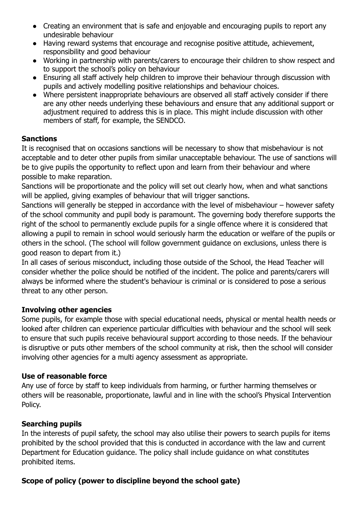- Creating an environment that is safe and enjoyable and encouraging pupils to report any undesirable behaviour
- Having reward systems that encourage and recognise positive attitude, achievement, responsibility and good behaviour
- Working in partnership with parents/carers to encourage their children to show respect and to support the school's policy on behaviour
- Ensuring all staff actively help children to improve their behaviour through discussion with pupils and actively modelling positive relationships and behaviour choices.
- Where persistent inappropriate behaviours are observed all staff actively consider if there are any other needs underlying these behaviours and ensure that any additional support or adjustment required to address this is in place. This might include discussion with other members of staff, for example, the SENDCO.

#### **Sanctions**

It is recognised that on occasions sanctions will be necessary to show that misbehaviour is not acceptable and to deter other pupils from similar unacceptable behaviour. The use of sanctions will be to give pupils the opportunity to reflect upon and learn from their behaviour and where possible to make reparation.

Sanctions will be proportionate and the policy will set out clearly how, when and what sanctions will be applied, giving examples of behaviour that will trigger sanctions.

Sanctions will generally be stepped in accordance with the level of misbehaviour – however safety of the school community and pupil body is paramount. The governing body therefore supports the right of the school to permanently exclude pupils for a single offence where it is considered that allowing a pupil to remain in school would seriously harm the education or welfare of the pupils or others in the school. (The school will follow government guidance on exclusions, unless there is good reason to depart from it.)

In all cases of serious misconduct, including those outside of the School, the Head Teacher will consider whether the police should be notified of the incident. The police and parents/carers will always be informed where the student's behaviour is criminal or is considered to pose a serious threat to any other person.

#### **Involving other agencies**

Some pupils, for example those with special educational needs, physical or mental health needs or looked after children can experience particular difficulties with behaviour and the school will seek to ensure that such pupils receive behavioural support according to those needs. If the behaviour is disruptive or puts other members of the school community at risk, then the school will consider involving other agencies for a multi agency assessment as appropriate.

#### **Use of reasonable force**

Any use of force by staff to keep individuals from harming, or further harming themselves or others will be reasonable, proportionate, lawful and in line with the school's Physical Intervention Policy.

#### **Searching pupils**

In the interests of pupil safety, the school may also utilise their powers to search pupils for items prohibited by the school provided that this is conducted in accordance with the law and current Department for Education guidance. The policy shall include guidance on what constitutes prohibited items.

#### **Scope of policy (power to discipline beyond the school gate)**